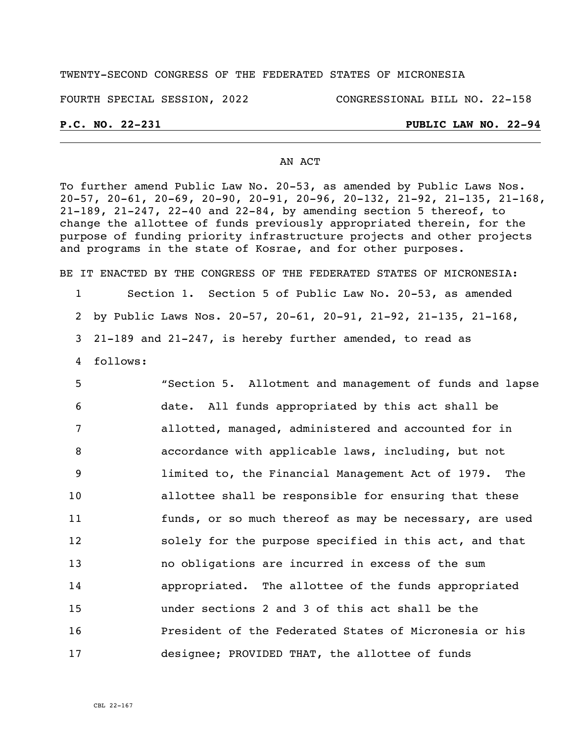### TWENTY-SECOND CONGRESS OF THE FEDERATED STATES OF MICRONESIA

FOURTH SPECIAL SESSION, 2022 CONGRESSIONAL BILL NO. 22-158

## **P.C. NO. 22-231 PUBLIC LAW NO. 22-94**

#### AN ACT

To further amend Public Law No. 20-53, as amended by Public Laws Nos. 20-57, 20-61, 20-69, 20-90, 20-91, 20-96, 20-132, 21-92, 21-135, 21-168, 21-189, 21-247, 22-40 and 22-84, by amending section 5 thereof, to change the allottee of funds previously appropriated therein, for the purpose of funding priority infrastructure projects and other projects and programs in the state of Kosrae, and for other purposes.

BE IT ENACTED BY THE CONGRESS OF THE FEDERATED STATES OF MICRONESIA: 1 Section 1. Section 5 of Public Law No. 20-53, as amended 2 by Public Laws Nos. 20-57, 20-61, 20-91, 21-92, 21-135, 21-168,

3 21-189 and 21-247, is hereby further amended, to read as

4 follows:

 "Section 5. Allotment and management of funds and lapse date. All funds appropriated by this act shall be allotted, managed, administered and accounted for in accordance with applicable laws, including, but not limited to, the Financial Management Act of 1979. The allottee shall be responsible for ensuring that these funds, or so much thereof as may be necessary, are used solely for the purpose specified in this act, and that no obligations are incurred in excess of the sum appropriated. The allottee of the funds appropriated under sections 2 and 3 of this act shall be the President of the Federated States of Micronesia or his designee; PROVIDED THAT, the allottee of funds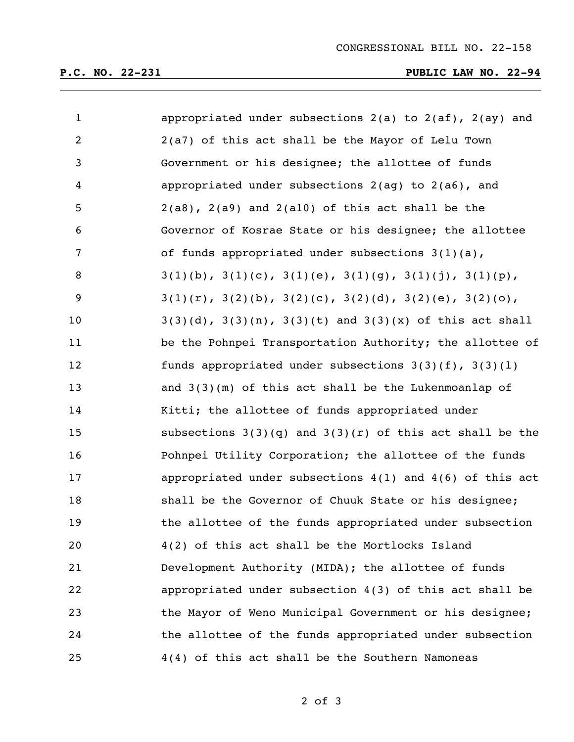# **P.C. NO. 22-231 PUBLIC LAW NO. 22-94**

| $\mathbf{1}$   | appropriated under subsections $2(a)$ to $2(af)$ , $2(ay)$ and          |
|----------------|-------------------------------------------------------------------------|
| $\overline{2}$ | 2(a7) of this act shall be the Mayor of Lelu Town                       |
| $\mathsf{3}$   | Government or his designee; the allottee of funds                       |
| 4              | appropriated under subsections 2(ag) to 2(a6), and                      |
| 5              | $2(a8)$ , $2(a9)$ and $2(a10)$ of this act shall be the                 |
| 6              | Governor of Kosrae State or his designee; the allottee                  |
| 7              | of funds appropriated under subsections $3(1)(a)$ ,                     |
| 8              | $3(1)(b)$ , $3(1)(c)$ , $3(1)(e)$ , $3(1)(g)$ , $3(1)(j)$ , $3(1)(p)$ , |
| 9              | $3(1)(r)$ , $3(2)(b)$ , $3(2)(c)$ , $3(2)(d)$ , $3(2)(e)$ , $3(2)(o)$ , |
| 10             | $3(3)(d)$ , $3(3)(n)$ , $3(3)(t)$ and $3(3)(x)$ of this act shall       |
| 11             | be the Pohnpei Transportation Authority; the allottee of                |
| 12             | funds appropriated under subsections $3(3)(f)$ , $3(3)(1)$              |
| 13             | and $3(3)(m)$ of this act shall be the Lukenmoanlap of                  |
| 14             | Kitti; the allottee of funds appropriated under                         |
| 15             | subsections $3(3)(q)$ and $3(3)(r)$ of this act shall be the            |
| 16             | Pohnpei Utility Corporation; the allottee of the funds                  |
| 17             | appropriated under subsections $4(1)$ and $4(6)$ of this act            |
| 18             | shall be the Governor of Chuuk State or his designee;                   |
| 19             | the allottee of the funds appropriated under subsection                 |
| 20             | 4(2) of this act shall be the Mortlocks Island                          |
| 21             | Development Authority (MIDA); the allottee of funds                     |
| 22             | appropriated under subsection $4(3)$ of this act shall be               |
| 23             | the Mayor of Weno Municipal Government or his designee;                 |
| 24             | the allottee of the funds appropriated under subsection                 |
| 25             | 4(4) of this act shall be the Southern Namoneas                         |

of 3